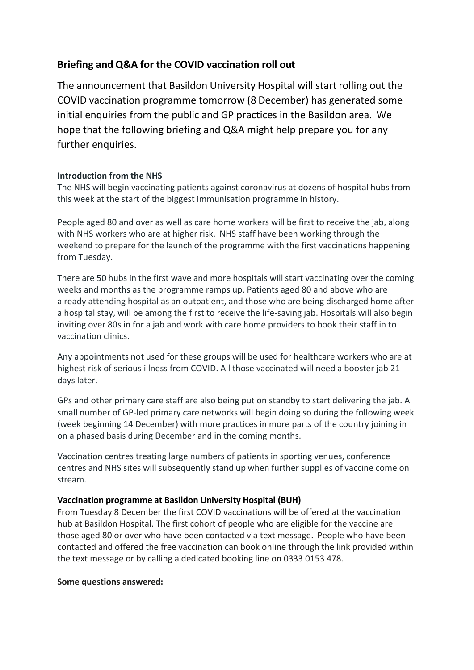# **Briefing and Q&A for the COVID vaccination roll out**

The announcement that Basildon University Hospital will start rolling out the COVID vaccination programme tomorrow (8 December) has generated some initial enquiries from the public and GP practices in the Basildon area. We hope that the following briefing and Q&A might help prepare you for any further enquiries.

## **Introduction from the NHS**

The NHS will begin vaccinating patients against coronavirus at dozens of hospital hubs from this week at the start of the biggest immunisation programme in history.

People aged 80 and over as well as care home workers will be first to receive the jab, along with NHS workers who are at higher risk. NHS staff have been working through the weekend to prepare for the launch of the programme with the first vaccinations happening from Tuesday.

There are 50 hubs in the first wave and more hospitals will start vaccinating over the coming weeks and months as the programme ramps up. Patients aged 80 and above who are already attending hospital as an outpatient, and those who are being discharged home after a hospital stay, will be among the first to receive the life-saving jab. Hospitals will also begin inviting over 80s in for a jab and work with care home providers to book their staff in to vaccination clinics.

Any appointments not used for these groups will be used for healthcare workers who are at highest risk of serious illness from COVID. All those vaccinated will need a booster jab 21 days later.

GPs and other primary care staff are also being put on standby to start delivering the jab. A small number of GP-led primary care networks will begin doing so during the following week (week beginning 14 December) with more practices in more parts of the country joining in on a phased basis during December and in the coming months.

Vaccination centres treating large numbers of patients in sporting venues, conference centres and NHS sites will subsequently stand up when further supplies of vaccine come on stream.

### **Vaccination programme at Basildon University Hospital (BUH)**

From Tuesday 8 December the first COVID vaccinations will be offered at the vaccination hub at Basildon Hospital. The first cohort of people who are eligible for the vaccine are those aged 80 or over who have been contacted via text message. People who have been contacted and offered the free vaccination can book online through the link provided within the text message or by calling a dedicated booking line on 0333 0153 478.

### **Some questions answered:**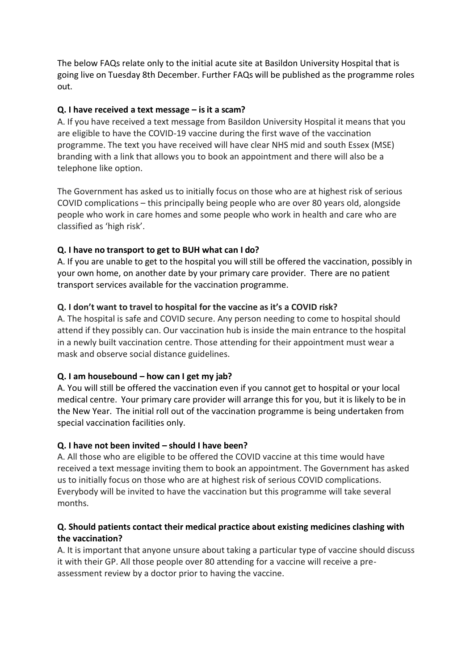The below FAQs relate only to the initial acute site at Basildon University Hospital that is going live on Tuesday 8th December. Further FAQs will be published as the programme roles out.

#### **Q. I have received a text message – isit a scam?**

A. If you have received a text message from Basildon University Hospital it means that you are eligible to have the COVID-19 vaccine during the first wave of the vaccination programme. The text you have received will have clear NHS mid and south Essex (MSE) branding with a link that allows you to book an appointment and there will also be a telephone like option.

The Government has asked us to initially focus on those who are at highest risk of serious COVID complications – this principally being people who are over 80 years old, alongside people who work in care homes and some people who work in health and care who are classified as 'high risk'.

### **Q. I have no transport to get to BUH what can I do?**

A. If you are unable to get to the hospital you will still be offered the vaccination, possibly in your own home, on another date by your primary care provider. There are no patient transport services available for the vaccination programme.

### **Q. I don't want to travel to hospital for the vaccine as it's a COVID risk?**

A. The hospital is safe and COVID secure. Any person needing to come to hospital should attend if they possibly can. Our vaccination hub is inside the main entrance to the hospital in a newly built vaccination centre. Those attending for their appointment must wear a mask and observe social distance guidelines.

### **Q. I am housebound – how can I get my jab?**

A. You will still be offered the vaccination even if you cannot get to hospital or your local medical centre. Your primary care provider will arrange this for you, but it is likely to be in the New Year. The initial roll out of the vaccination programme is being undertaken from special vaccination facilities only.

### **Q. I have not been invited – should I have been?**

A. All those who are eligible to be offered the COVID vaccine at this time would have received a text message inviting them to book an appointment. The Government has asked us to initially focus on those who are at highest risk of serious COVID complications. Everybody will be invited to have the vaccination but this programme will take several months.

### **Q. Should patients contact their medical practice about existing medicines clashing with the vaccination?**

A. It is important that anyone unsure about taking a particular type of vaccine should discuss it with their GP. All those people over 80 attending for a vaccine will receive a preassessment review by a doctor prior to having the vaccine.